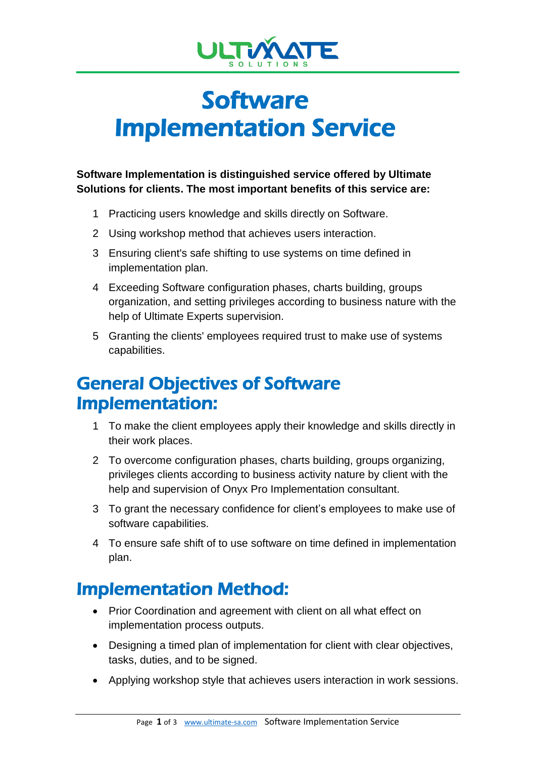

# **Software** Implementation Service

**Software Implementation is distinguished service offered by Ultimate Solutions for clients. The most important benefits of this service are:**

- 1 Practicing users knowledge and skills directly on Software.
- 2 Using workshop method that achieves users interaction.
- 3 Ensuring client's safe shifting to use systems on time defined in implementation plan.
- 4 Exceeding Software configuration phases, charts building, groups organization, and setting privileges according to business nature with the help of Ultimate Experts supervision.
- 5 Granting the clients' employees required trust to make use of systems capabilities.

## General Objectives of Software Implementation:

- 1 To make the client employees apply their knowledge and skills directly in their work places.
- 2 To overcome configuration phases, charts building, groups organizing, privileges clients according to business activity nature by client with the help and supervision of Onyx Pro Implementation consultant.
- 3 To grant the necessary confidence for client's employees to make use of software capabilities.
- 4 To ensure safe shift of to use software on time defined in implementation plan.

## Implementation Method:

- Prior Coordination and agreement with client on all what effect on implementation process outputs.
- Designing a timed plan of implementation for client with clear objectives, tasks, duties, and to be signed.
- Applying workshop style that achieves users interaction in work sessions.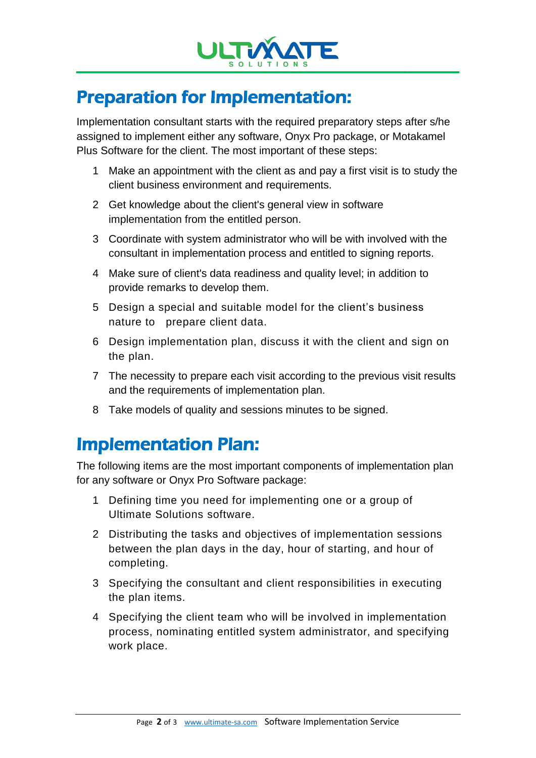

# Preparation for Implementation:

Implementation consultant starts with the required preparatory steps after s/he assigned to implement either any software, Onyx Pro package, or Motakamel Plus Software for the client. The most important of these steps:

- 1 Make an appointment with the client as and pay a first visit is to study the client business environment and requirements.
- 2 Get knowledge about the client's general view in software implementation from the entitled person.
- 3 Coordinate with system administrator who will be with involved with the consultant in implementation process and entitled to signing reports.
- 4 Make sure of client's data readiness and quality level; in addition to provide remarks to develop them.
- 5 Design a special and suitable model for the client's business nature to prepare client data.
- 6 Design implementation plan, discuss it with the client and sign on the plan.
- 7 The necessity to prepare each visit according to the previous visit results and the requirements of implementation plan.
- 8 Take models of quality and sessions minutes to be signed.

# Implementation Plan:

The following items are the most important components of implementation plan for any software or Onyx Pro Software package:

- 1 Defining time you need for implementing one or a group of Ultimate Solutions software.
- 2 Distributing the tasks and objectives of implementation sessions between the plan days in the day, hour of starting, and hour of completing.
- 3 Specifying the consultant and client responsibilities in executing the plan items.
- 4 Specifying the client team who will be involved in implementation process, nominating entitled system administrator, and specifying work place.